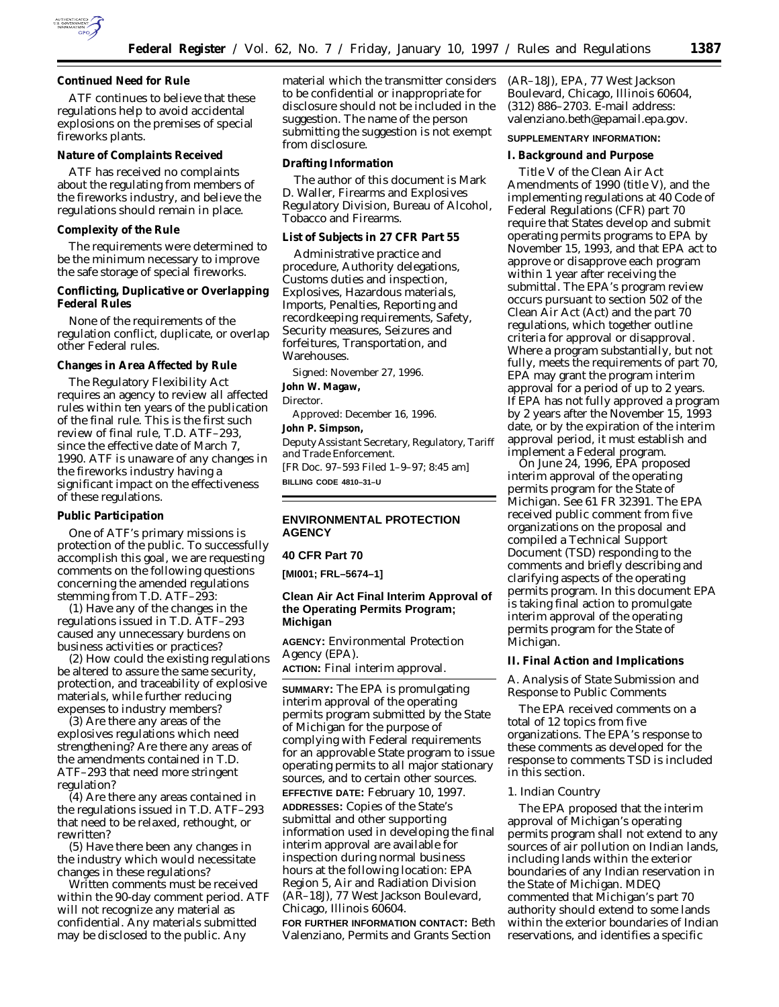

**Continued Need for Rule**

ATF continues to believe that these regulations help to avoid accidental explosions on the premises of special fireworks plants.

### **Nature of Complaints Received**

ATF has received no complaints about the regulating from members of the fireworks industry, and believe the regulations should remain in place.

#### **Complexity of the Rule**

The requirements were determined to be the minimum necessary to improve the safe storage of special fireworks.

**Conflicting, Duplicative or Overlapping Federal Rules**

None of the requirements of the regulation conflict, duplicate, or overlap other Federal rules.

**Changes in Area Affected by Rule**

The Regulatory Flexibility Act requires an agency to review all affected rules within ten years of the publication of the final rule. This is the first such review of final rule, T.D. ATF–293, since the effective date of March 7, 1990. ATF is unaware of any changes in the fireworks industry having a significant impact on the effectiveness of these regulations.

#### **Public Participation**

One of ATF's primary missions is protection of the public. To successfully accomplish this goal, we are requesting comments on the following questions concerning the amended regulations stemming from T.D. ATF–293:

(1) Have any of the changes in the regulations issued in T.D. ATF–293 caused any unnecessary burdens on business activities or practices?

(2) How could the existing regulations be altered to assure the same security, protection, and traceability of explosive materials, while further reducing expenses to industry members?

(3) Are there any areas of the explosives regulations which need strengthening? Are there any areas of the amendments contained in T.D. ATF–293 that need more stringent regulation?

(4) Are there any areas contained in the regulations issued in T.D. ATF–293 that need to be relaxed, rethought, or rewritten?

(5) Have there been any changes in the industry which would necessitate changes in these regulations?

Written comments must be received within the 90-day comment period. ATF will not recognize any material as confidential. Any materials submitted may be disclosed to the public. Any

material which the transmitter considers to be confidential or inappropriate for disclosure should not be included in the suggestion. The name of the person submitting the suggestion is not exempt from disclosure.

**Drafting Information**

The author of this document is Mark D. Waller, Firearms and Explosives Regulatory Division, Bureau of Alcohol, Tobacco and Firearms.

**List of Subjects in 27 CFR Part 55**

Administrative practice and procedure, Authority delegations, Customs duties and inspection, Explosives, Hazardous materials, Imports, Penalties, Reporting and recordkeeping requirements, Safety, Security measures, Seizures and forfeitures, Transportation, and Warehouses.

Signed: November 27, 1996. **John W. Magaw,** *Director.* Approved: December 16, 1996. **John P. Simpson,** *Deputy Assistant Secretary, Regulatory, Tariff and Trade Enforcement.* [FR Doc. 97–593 Filed 1–9–97; 8:45 am] **BILLING CODE 4810–31–U**

# **ENVIRONMENTAL PROTECTION AGENCY**

## **40 CFR Part 70**

**[MI001; FRL–5674–1]**

# **Clean Air Act Final Interim Approval of the Operating Permits Program; Michigan**

**AGENCY:** Environmental Protection Agency (EPA).

**ACTION:** Final interim approval.

**SUMMARY:** The EPA is promulgating interim approval of the operating permits program submitted by the State of Michigan for the purpose of complying with Federal requirements for an approvable State program to issue operating permits to all major stationary sources, and to certain other sources. **EFFECTIVE DATE:** February 10, 1997.

**ADDRESSES:** Copies of the State's submittal and other supporting information used in developing the final interim approval are available for inspection during normal business hours at the following location: EPA Region 5, Air and Radiation Division (AR–18J), 77 West Jackson Boulevard, Chicago, Illinois 60604.

**FOR FURTHER INFORMATION CONTACT:** Beth Valenziano, Permits and Grants Section

(AR–18J), EPA, 77 West Jackson Boulevard, Chicago, Illinois 60604, (312) 886–2703. E-mail address: valenziano.beth@epamail.epa.gov.

### **SUPPLEMENTARY INFORMATION:**

#### **I. Background and Purpose**

Title V of the Clean Air Act Amendments of 1990 (title V), and the implementing regulations at 40 Code of Federal Regulations (CFR) part 70 require that States develop and submit operating permits programs to EPA by November 15, 1993, and that EPA act to approve or disapprove each program within 1 year after receiving the submittal. The EPA's program review occurs pursuant to section 502 of the Clean Air Act (Act) and the part 70 regulations, which together outline criteria for approval or disapproval. Where a program substantially, but not fully, meets the requirements of part 70, EPA may grant the program interim approval for a period of up to 2 years. If EPA has not fully approved a program by 2 years after the November 15, 1993 date, or by the expiration of the interim approval period, it must establish and implement a Federal program.

On June 24, 1996, EPA proposed interim approval of the operating permits program for the State of Michigan. See 61 FR 32391. The EPA received public comment from five organizations on the proposal and compiled a Technical Support Document (TSD) responding to the comments and briefly describing and clarifying aspects of the operating permits program. In this document EPA is taking final action to promulgate interim approval of the operating permits program for the State of Michigan.

#### **II. Final Action and Implications**

*A. Analysis of State Submission and Response to Public Comments*

The EPA received comments on a total of 12 topics from five organizations. The EPA's response to these comments as developed for the response to comments TSD is included in this section.

## 1. Indian Country

The EPA proposed that the interim approval of Michigan's operating permits program shall not extend to any sources of air pollution on Indian lands, including lands within the exterior boundaries of any Indian reservation in the State of Michigan. MDEQ commented that Michigan's part 70 authority should extend to some lands within the exterior boundaries of Indian reservations, and identifies a specific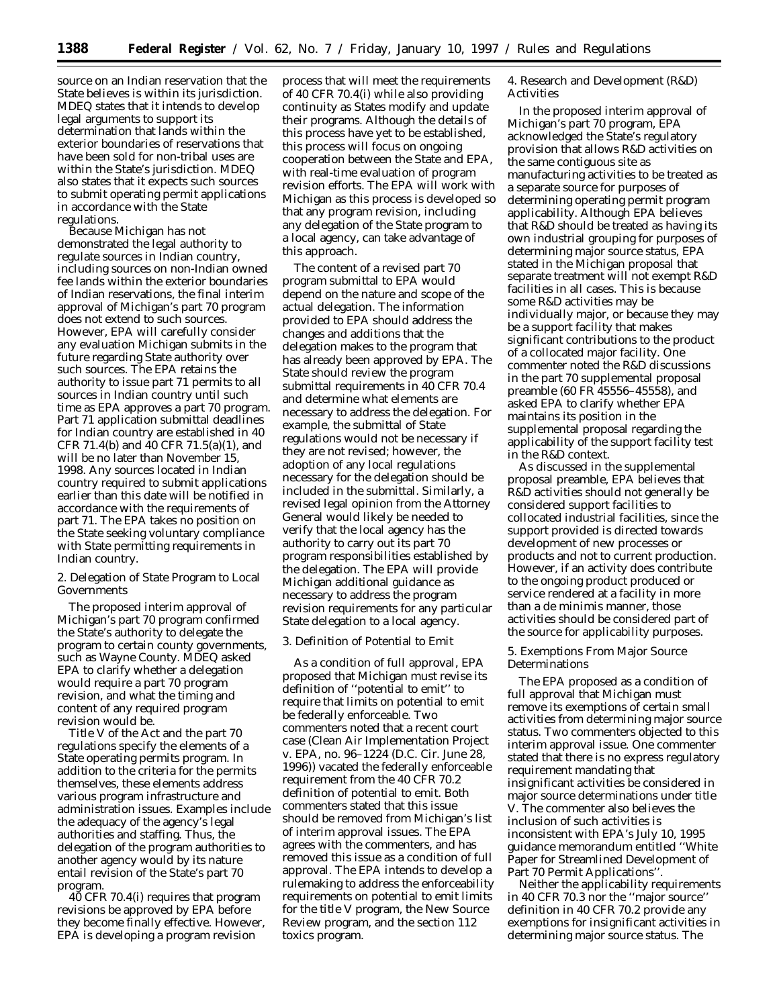source on an Indian reservation that the State believes is within its jurisdiction. MDEQ states that it intends to develop legal arguments to support its determination that lands within the exterior boundaries of reservations that have been sold for non-tribal uses are within the State's jurisdiction. MDEQ also states that it expects such sources to submit operating permit applications in accordance with the State regulations.

Because Michigan has not demonstrated the legal authority to regulate sources in Indian country, including sources on non-Indian owned fee lands within the exterior boundaries of Indian reservations, the final interim approval of Michigan's part 70 program does not extend to such sources. However, EPA will carefully consider any evaluation Michigan submits in the future regarding State authority over such sources. The EPA retains the authority to issue part 71 permits to all sources in Indian country until such time as EPA approves a part 70 program. Part 71 application submittal deadlines for Indian country are established in 40 CFR 71.4(b) and 40 CFR 71.5(a)(1), and will be no later than November 15, 1998. Any sources located in Indian country required to submit applications earlier than this date will be notified in accordance with the requirements of part 71. The EPA takes no position on the State seeking voluntary compliance with State permitting requirements in Indian country.

2. Delegation of State Program to Local Governments

The proposed interim approval of Michigan's part 70 program confirmed the State's authority to delegate the program to certain county governments, such as Wayne County. MDEQ asked EPA to clarify whether a delegation would require a part 70 program revision, and what the timing and content of any required program revision would be.

Title V of the Act and the part 70 regulations specify the elements of a State operating permits program. In addition to the criteria for the permits themselves, these elements address various program infrastructure and administration issues. Examples include the adequacy of the agency's legal authorities and staffing. Thus, the delegation of the program authorities to another agency would by its nature entail revision of the State's part 70 program.

40 CFR 70.4(i) requires that program revisions be approved by EPA before they become finally effective. However, EPA is developing a program revision

process that will meet the requirements of 40 CFR 70.4(i) while also providing continuity as States modify and update their programs. Although the details of this process have yet to be established, this process will focus on ongoing cooperation between the State and EPA, with real-time evaluation of program revision efforts. The EPA will work with Michigan as this process is developed so that any program revision, including any delegation of the State program to a local agency, can take advantage of this approach.

The content of a revised part 70 program submittal to EPA would depend on the nature and scope of the actual delegation. The information provided to EPA should address the changes and additions that the delegation makes to the program that has already been approved by EPA. The State should review the program submittal requirements in 40 CFR 70.4 and determine what elements are necessary to address the delegation. For example, the submittal of State regulations would not be necessary if they are not revised; however, the adoption of any local regulations necessary for the delegation should be included in the submittal. Similarly, a revised legal opinion from the Attorney General would likely be needed to verify that the local agency has the authority to carry out its part 70 program responsibilities established by the delegation. The EPA will provide Michigan additional guidance as necessary to address the program revision requirements for any particular State delegation to a local agency.

# 3. Definition of Potential to Emit

As a condition of full approval, EPA proposed that Michigan must revise its definition of ''potential to emit'' to require that limits on potential to emit be federally enforceable. Two commenters noted that a recent court case (*Clean Air Implementation Project* v. *EPA,* no. 96–1224 (D.C. Cir. June 28, 1996)) vacated the federally enforceable requirement from the 40 CFR 70.2 definition of potential to emit. Both commenters stated that this issue should be removed from Michigan's list of interim approval issues. The EPA agrees with the commenters, and has removed this issue as a condition of full approval. The EPA intends to develop a rulemaking to address the enforceability requirements on potential to emit limits for the title V program, the New Source Review program, and the section 112 toxics program.

4. Research and Development (R&D) Activities

In the proposed interim approval of Michigan's part 70 program, EPA acknowledged the State's regulatory provision that allows R&D activities on the same contiguous site as manufacturing activities to be treated as a separate source for purposes of determining operating permit program applicability. Although EPA believes that R&D should be treated as having its own industrial grouping for purposes of determining major source status, EPA stated in the Michigan proposal that separate treatment will not exempt R&D facilities in all cases. This is because some R&D activities may be individually major, or because they may be a support facility that makes significant contributions to the product of a collocated major facility. One commenter noted the R&D discussions in the part 70 supplemental proposal preamble (60 FR 45556–45558), and asked EPA to clarify whether EPA maintains its position in the supplemental proposal regarding the applicability of the support facility test in the R&D context.

As discussed in the supplemental proposal preamble, EPA believes that R&D activities should not generally be considered support facilities to collocated industrial facilities, since the support provided is directed towards development of new processes or products and not to current production. However, if an activity does contribute to the ongoing product produced or service rendered at a facility in more than a de minimis manner, those activities should be considered part of the source for applicability purposes.

## 5. Exemptions From Major Source Determinations

The EPA proposed as a condition of full approval that Michigan must remove its exemptions of certain small activities from determining major source status. Two commenters objected to this interim approval issue. One commenter stated that there is no express regulatory requirement mandating that insignificant activities be considered in major source determinations under title V. The commenter also believes the inclusion of such activities is inconsistent with EPA's July 10, 1995 guidance memorandum entitled ''White Paper for Streamlined Development of Part 70 Permit Applications''.

Neither the applicability requirements in 40 CFR 70.3 nor the ''major source'' definition in 40 CFR 70.2 provide any exemptions for insignificant activities in determining major source status. The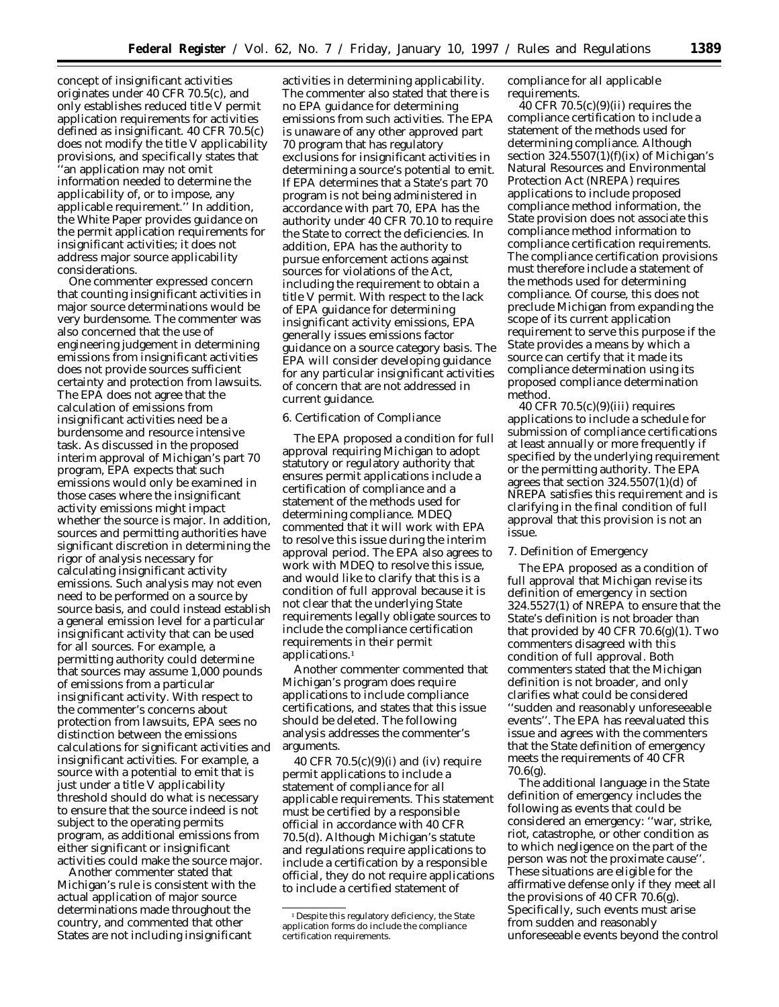concept of insignificant activities originates under 40 CFR 70.5(c), and only establishes reduced title V permit application requirements for activities defined as insignificant. 40 CFR 70.5(c) does not modify the title V applicability provisions, and specifically states that ''an application may not omit information needed to determine the applicability of, or to impose, any applicable requirement.'' In addition, the White Paper provides guidance on the permit application requirements for insignificant activities; it does not address major source applicability considerations.

One commenter expressed concern that counting insignificant activities in major source determinations would be very burdensome. The commenter was also concerned that the use of engineering judgement in determining emissions from insignificant activities does not provide sources sufficient certainty and protection from lawsuits. The EPA does not agree that the calculation of emissions from insignificant activities need be a burdensome and resource intensive task. As discussed in the proposed interim approval of Michigan's part 70 program, EPA expects that such emissions would only be examined in those cases where the insignificant activity emissions might impact whether the source is major. In addition, sources and permitting authorities have significant discretion in determining the rigor of analysis necessary for calculating insignificant activity emissions. Such analysis may not even need to be performed on a source by source basis, and could instead establish a general emission level for a particular insignificant activity that can be used for all sources. For example, a permitting authority could determine that sources may assume 1,000 pounds of emissions from a particular insignificant activity. With respect to the commenter's concerns about protection from lawsuits, EPA sees no distinction between the emissions calculations for significant activities and insignificant activities. For example, a source with a potential to emit that is just under a title V applicability threshold should do what is necessary to ensure that the source indeed is not subject to the operating permits program, as additional emissions from either significant or insignificant activities could make the source major.

Another commenter stated that Michigan's rule is consistent with the actual application of major source determinations made throughout the country, and commented that other States are not including insignificant

activities in determining applicability. The commenter also stated that there is no EPA guidance for determining emissions from such activities. The EPA is unaware of any other approved part 70 program that has regulatory exclusions for insignificant activities in determining a source's potential to emit. If EPA determines that a State's part 70 program is not being administered in accordance with part 70, EPA has the authority under 40 CFR 70.10 to require the State to correct the deficiencies. In addition, EPA has the authority to pursue enforcement actions against sources for violations of the Act, including the requirement to obtain a title V permit. With respect to the lack of EPA guidance for determining insignificant activity emissions, EPA generally issues emissions factor guidance on a source category basis. The EPA will consider developing guidance for any particular insignificant activities of concern that are not addressed in current guidance.

#### 6. Certification of Compliance

The EPA proposed a condition for full approval requiring Michigan to adopt statutory or regulatory authority that ensures permit applications include a certification of compliance and a statement of the methods used for determining compliance. MDEQ commented that it will work with EPA to resolve this issue during the interim approval period. The EPA also agrees to work with MDEQ to resolve this issue, and would like to clarify that this is a condition of full approval because it is not clear that the underlying State requirements legally obligate sources to include the compliance certification requirements in their permit applications.1

Another commenter commented that Michigan's program does require applications to include compliance certifications, and states that this issue should be deleted. The following analysis addresses the commenter's arguments.

40 CFR  $70.5(c)(9)(i)$  and (iv) require permit applications to include a statement of compliance for all applicable requirements. This statement must be certified by a responsible official in accordance with 40 CFR 70.5(d). Although Michigan's statute and regulations require applications to include a certification by a responsible official, they do not require applications to include a certified statement of

compliance for all applicable requirements.

 $40$  CFR  $70.5(c)(9)(ii)$  requires the compliance certification to include a statement of the methods used for determining compliance. Although section  $324.5507(1)(f)(ix)$  of Michigan's Natural Resources and Environmental Protection Act (NREPA) requires applications to include proposed compliance method information, the State provision does not associate this compliance method information to compliance certification requirements. The compliance certification provisions must therefore include a statement of the methods used for determining compliance. Of course, this does not preclude Michigan from expanding the scope of its current application requirement to serve this purpose if the State provides a means by which a source can certify that it made its compliance determination using its proposed compliance determination method.

40 CFR 70.5(c)(9)(iii) requires applications to include a schedule for submission of compliance certifications at least annually or more frequently if specified by the underlying requirement or the permitting authority. The EPA agrees that section  $324.5507(1)(d)$  of NREPA satisfies this requirement and is clarifying in the final condition of full approval that this provision is not an issue.

### 7. Definition of Emergency

The EPA proposed as a condition of full approval that Michigan revise its definition of emergency in section 324.5527(1) of NREPA to ensure that the State's definition is not broader than that provided by 40 CFR  $70.6(g)(1)$ . Two commenters disagreed with this condition of full approval. Both commenters stated that the Michigan definition is not broader, and only clarifies what could be considered ''sudden and reasonably unforeseeable events''. The EPA has reevaluated this issue and agrees with the commenters that the State definition of emergency meets the requirements of 40 CFR 70.6(g).

The additional language in the State definition of emergency includes the following as events that could be considered an emergency: ''war, strike, riot, catastrophe, or other condition as to which negligence on the part of the person was not the proximate cause''. These situations are eligible for the affirmative defense only if they meet all the provisions of 40 CFR  $70.6(g)$ . Specifically, such events must arise from sudden and reasonably unforeseeable events beyond the control

<sup>&</sup>lt;sup>1</sup> Despite this regulatory deficiency, the State application forms do include the compliance certification requirements.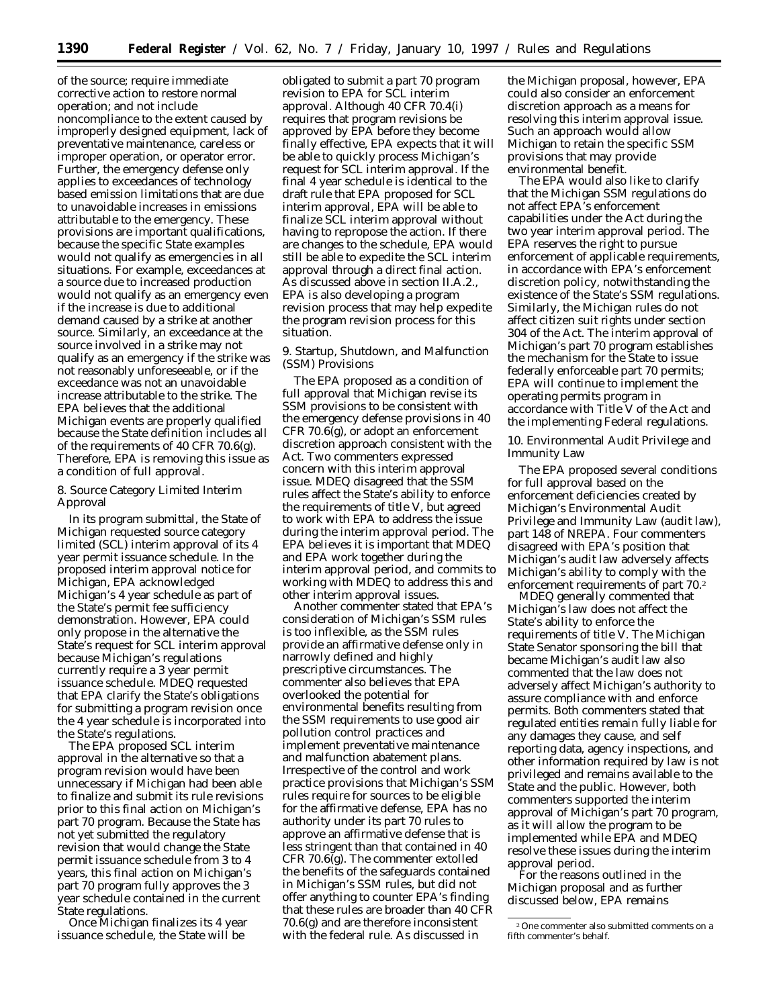of the source; require immediate corrective action to restore normal operation; and not include noncompliance to the extent caused by improperly designed equipment, lack of preventative maintenance, careless or improper operation, or operator error. Further, the emergency defense only applies to exceedances of technology based emission limitations that are due to unavoidable increases in emissions attributable to the emergency. These provisions are important qualifications, because the specific State examples would not qualify as emergencies in all situations. For example, exceedances at a source due to increased production would not qualify as an emergency even if the increase is due to additional demand caused by a strike at another source. Similarly, an exceedance at the source involved in a strike may not qualify as an emergency if the strike was not reasonably unforeseeable, or if the exceedance was not an unavoidable increase attributable to the strike. The EPA believes that the additional Michigan events are properly qualified because the State definition includes all of the requirements of 40 CFR 70.6(g). Therefore, EPA is removing this issue as a condition of full approval.

8. Source Category Limited Interim Approval

In its program submittal, the State of Michigan requested source category limited (SCL) interim approval of its 4 year permit issuance schedule. In the proposed interim approval notice for Michigan, EPA acknowledged Michigan's 4 year schedule as part of the State's permit fee sufficiency demonstration. However, EPA could only propose in the alternative the State's request for SCL interim approval because Michigan's regulations currently require a 3 year permit issuance schedule. MDEQ requested that EPA clarify the State's obligations for submitting a program revision once the 4 year schedule is incorporated into the State's regulations.

The EPA proposed SCL interim approval in the alternative so that a program revision would have been unnecessary if Michigan had been able to finalize and submit its rule revisions prior to this final action on Michigan's part 70 program. Because the State has not yet submitted the regulatory revision that would change the State permit issuance schedule from 3 to 4 years, this final action on Michigan's part 70 program fully approves the 3 year schedule contained in the current State regulations.

Once Michigan finalizes its 4 year issuance schedule, the State will be

obligated to submit a part 70 program revision to EPA for SCL interim approval. Although 40 CFR 70.4(i) requires that program revisions be approved by EPA before they become finally effective, EPA expects that it will be able to quickly process Michigan's request for SCL interim approval. If the final 4 year schedule is identical to the draft rule that EPA proposed for SCL interim approval, EPA will be able to finalize SCL interim approval without having to repropose the action. If there are changes to the schedule, EPA would still be able to expedite the SCL interim approval through a direct final action. As discussed above in section II.A.2., EPA is also developing a program revision process that may help expedite the program revision process for this situation.

9. Startup, Shutdown, and Malfunction (SSM) Provisions

The EPA proposed as a condition of full approval that Michigan revise its SSM provisions to be consistent with the emergency defense provisions in 40 CFR 70.6(g), or adopt an enforcement discretion approach consistent with the Act. Two commenters expressed concern with this interim approval issue. MDEQ disagreed that the SSM rules affect the State's ability to enforce the requirements of title V, but agreed to work with EPA to address the issue during the interim approval period. The EPA believes it is important that MDEQ and EPA work together during the interim approval period, and commits to working with MDEQ to address this and other interim approval issues.

Another commenter stated that EPA's consideration of Michigan's SSM rules is too inflexible, as the SSM rules provide an affirmative defense only in narrowly defined and highly prescriptive circumstances. The commenter also believes that EPA overlooked the potential for environmental benefits resulting from the SSM requirements to use good air pollution control practices and implement preventative maintenance and malfunction abatement plans. Irrespective of the control and work practice provisions that Michigan's SSM rules require for sources to be eligible for the affirmative defense, EPA has no authority under its part 70 rules to approve an affirmative defense that is less stringent than that contained in 40 CFR 70.6(g). The commenter extolled the benefits of the safeguards contained in Michigan's SSM rules, but did not offer anything to counter EPA's finding that these rules are broader than 40 CFR 70.6(g) and are therefore inconsistent with the federal rule. As discussed in

the Michigan proposal, however, EPA could also consider an enforcement discretion approach as a means for resolving this interim approval issue. Such an approach would allow Michigan to retain the specific SSM provisions that may provide environmental benefit.

The EPA would also like to clarify that the Michigan SSM regulations do not affect EPA's enforcement capabilities under the Act during the two year interim approval period. The EPA reserves the right to pursue enforcement of applicable requirements, in accordance with EPA's enforcement discretion policy, notwithstanding the existence of the State's SSM regulations. Similarly, the Michigan rules do not affect citizen suit rights under section 304 of the Act. The interim approval of Michigan's part 70 program establishes the mechanism for the State to issue federally enforceable part 70 permits; EPA will continue to implement the operating permits program in accordance with Title V of the Act and the implementing Federal regulations.

10. Environmental Audit Privilege and Immunity Law

The EPA proposed several conditions for full approval based on the enforcement deficiencies created by Michigan's Environmental Audit Privilege and Immunity Law (audit law), part 148 of NREPA. Four commenters disagreed with EPA's position that Michigan's audit law adversely affects Michigan's ability to comply with the enforcement requirements of part 70.2

MDEQ generally commented that Michigan's law does not affect the State's ability to enforce the requirements of title V. The Michigan State Senator sponsoring the bill that became Michigan's audit law also commented that the law does not adversely affect Michigan's authority to assure compliance with and enforce permits. Both commenters stated that regulated entities remain fully liable for any damages they cause, and self reporting data, agency inspections, and other information required by law is not privileged and remains available to the State and the public. However, both commenters supported the interim approval of Michigan's part 70 program, as it will allow the program to be implemented while EPA and MDEQ resolve these issues during the interim approval period.

For the reasons outlined in the Michigan proposal and as further discussed below, EPA remains

<sup>2</sup>One commenter also submitted comments on a fifth commenter's behalf.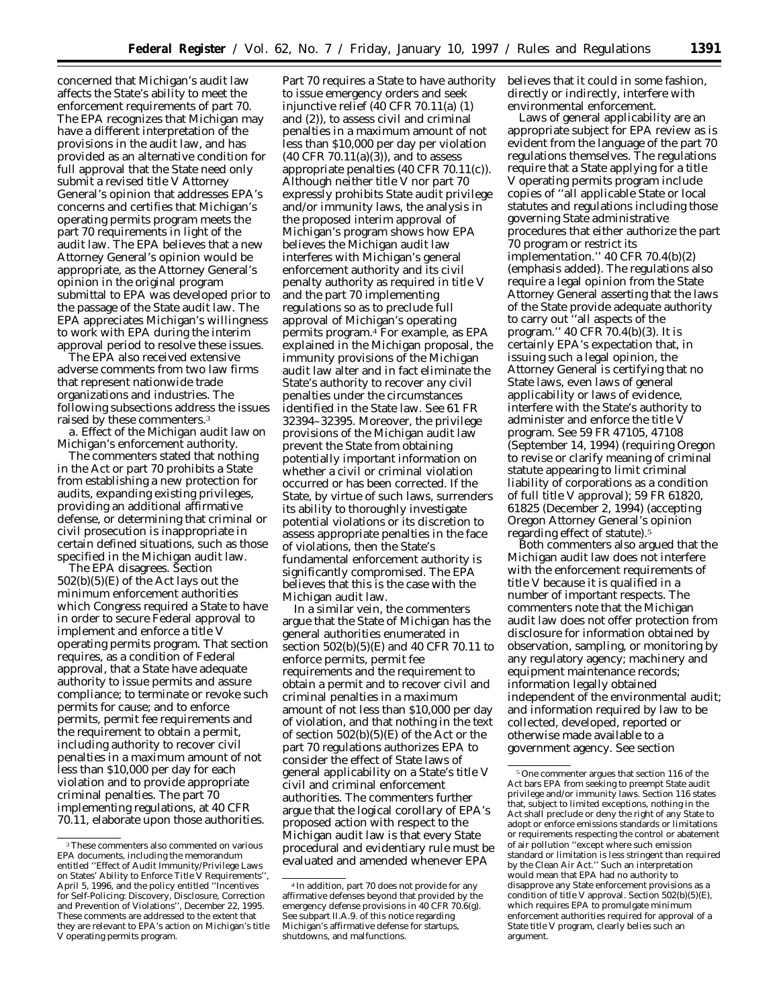concerned that Michigan's audit law affects the State's ability to meet the enforcement requirements of part 70. The EPA recognizes that Michigan may have a different interpretation of the provisions in the audit law, and has provided as an alternative condition for full approval that the State need only submit a revised title V Attorney General's opinion that addresses EPA's concerns and certifies that Michigan's operating permits program meets the part 70 requirements in light of the audit law. The EPA believes that a new Attorney General's opinion would be appropriate, as the Attorney General's opinion in the original program submittal to EPA was developed prior to the passage of the State audit law. The EPA appreciates Michigan's willingness to work with EPA during the interim approval period to resolve these issues.

The EPA also received extensive adverse comments from two law firms that represent nationwide trade organizations and industries. The following subsections address the issues raised by these commenters.3

*a. Effect of the Michigan audit law on Michigan's enforcement authority.*

The commenters stated that nothing in the Act or part 70 prohibits a State from establishing a new protection for audits, expanding existing privileges, providing an additional affirmative defense, or determining that criminal or civil prosecution is inappropriate in certain defined situations, such as those specified in the Michigan audit law.

The EPA disagrees. Section 502(b)(5)(E) of the Act lays out the minimum enforcement authorities which Congress required a State to have in order to secure Federal approval to implement and enforce a title V operating permits program. That section requires, as a condition of Federal approval, that a State have adequate authority to issue permits and assure compliance; to terminate or revoke such permits for cause; and to enforce permits, permit fee requirements and the requirement to obtain a permit, including authority to recover civil penalties in a maximum amount of not less than \$10,000 per day for each violation and to provide appropriate criminal penalties. The part 70 implementing regulations, at 40 CFR 70.11, elaborate upon those authorities.

Part 70 requires a State to have authority to issue emergency orders and seek injunctive relief (40 CFR 70.11(a) (1) and (2)), to assess civil and criminal penalties in a maximum amount of not less than \$10,000 per day per violation  $(40 \text{ CFR } 70.11(a)(3))$ , and to assess appropriate penalties (40 CFR 70.11(c)). Although neither title V nor part 70 expressly prohibits State audit privilege and/or immunity laws, the analysis in the proposed interim approval of Michigan's program shows how EPA believes the Michigan audit law interferes with Michigan's general enforcement authority and its civil penalty authority as required in title V and the part 70 implementing regulations so as to preclude full approval of Michigan's operating permits program.4 For example, as EPA explained in the Michigan proposal, the immunity provisions of the Michigan audit law alter and in fact eliminate the State's authority to recover *any* civil penalties under the circumstances identified in the State law. *See* 61 FR 32394–32395. Moreover, the privilege provisions of the Michigan audit law prevent the State from obtaining potentially important information on whether a civil or criminal violation occurred or has been corrected. If the State, by virtue of such laws, surrenders its ability to thoroughly investigate potential violations or its discretion to assess appropriate penalties in the face of violations, then the State's fundamental enforcement authority is significantly compromised. The EPA believes that this is the case with the Michigan audit law.

In a similar vein, the commenters argue that the State of Michigan has the general authorities enumerated in section 502(b)(5)(E) and 40 CFR 70.11 to enforce permits, permit fee requirements and the requirement to obtain a permit and to recover civil and criminal penalties in a maximum amount of not less than \$10,000 per day of violation, and that nothing in the text of section  $502(b)(5)(E)$  of the Act or the part 70 regulations authorizes EPA to consider the effect of State laws of general applicability on a State's title V civil and criminal enforcement authorities. The commenters further argue that the logical corollary of EPA's proposed action with respect to the Michigan audit law is that *every* State procedural and evidentiary rule must be evaluated and amended whenever EPA

believes that it could in some fashion, directly or indirectly, interfere with environmental enforcement.

Laws of general applicability are an appropriate subject for EPA review as is evident from the language of the part 70 regulations themselves. The regulations require that a State applying for a title V operating permits program include copies of ''all applicable State or local statutes and regulations including those governing State administrative procedures that either authorize the part 70 program *or restrict its implementation*.'' 40 CFR 70.4(b)(2) (emphasis added). The regulations also require a legal opinion from the State Attorney General asserting that the laws of the State provide adequate authority to carry out ''all aspects of the program.'' 40 CFR 70.4(b)(3). It is certainly EPA's expectation that, in issuing such a legal opinion, the Attorney General is certifying that no State laws, even laws of general applicability or laws of evidence, interfere with the State's authority to administer and enforce the title V program. *See* 59 FR 47105, 47108 (September 14, 1994) (requiring Oregon to revise or clarify meaning of criminal statute appearing to limit criminal liability of corporations as a condition of full title V approval); 59 FR 61820, 61825 (December 2, 1994) (accepting Oregon Attorney General's opinion regarding effect of statute).5

Both commenters also argued that the Michigan audit law does not interfere with the enforcement requirements of title V because it is qualified in a number of important respects. The commenters note that the Michigan audit law does not offer protection from disclosure for information obtained by observation, sampling, or monitoring by any regulatory agency; machinery and equipment maintenance records; information legally obtained independent of the environmental audit; and information required by law to be collected, developed, reported or otherwise made available to a government agency. *See* section

<sup>&</sup>lt;sup>3</sup>These commenters also commented on various EPA documents, including the memorandum entitled ''Effect of Audit Immunity/Privilege Laws on States' Ability to Enforce Title V Requirements'', April 5, 1996, and the policy entitled ''Incentives for Self-Policing: Discovery, Disclosure, Correction and Prevention of Violations'', December 22, 1995. These comments are addressed to the extent that they are relevant to EPA's action on Michigan's title V operating permits program.

<sup>4</sup> In addition, part 70 does not provide for any affirmative defenses beyond that provided by the emergency defense provisions in 40 CFR 70.6(g). See subpart II.A.9. of this notice regarding Michigan's affirmative defense for startups, shutdowns, and malfunctions.

<sup>5</sup>One commenter argues that section 116 of the Act bars EPA from seeking to preempt State audit privilege and/or immunity laws. Section 116 states that, subject to limited exceptions, nothing in the Act shall preclude or deny the right of any State to adopt or enforce emissions standards or limitations or requirements respecting the control or abatement of air pollution ''except where such emission standard or limitation is less stringent than required by the Clean Air Act.'' Such an interpretation would mean that EPA had no authority to disapprove any State enforcement provisions as a condition of title V approval. Section 502(b)(5)(E), which requires EPA to promulgate minimum enforcement authorities required for approval of a State title V program, clearly belies such an argument.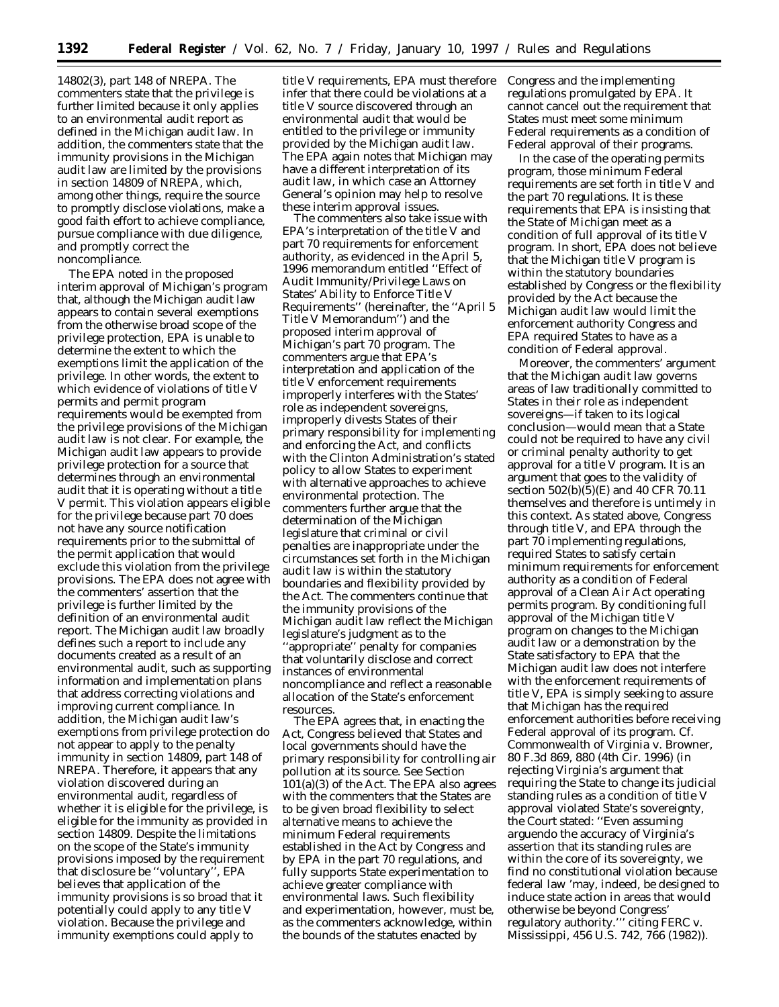14802(3), part 148 of NREPA. The commenters state that the privilege is further limited because it only applies to an environmental audit report as defined in the Michigan audit law. In addition, the commenters state that the immunity provisions in the Michigan audit law are limited by the provisions in section 14809 of NREPA, which, among other things, require the source to promptly disclose violations, make a good faith effort to achieve compliance, pursue compliance with due diligence, and promptly correct the noncompliance.

The EPA noted in the proposed interim approval of Michigan's program that, although the Michigan audit law appears to contain several exemptions from the otherwise broad scope of the privilege protection, EPA is unable to determine the extent to which the exemptions limit the application of the privilege. In other words, the extent to which evidence of violations of title V permits and permit program requirements would be exempted from the privilege provisions of the Michigan audit law is not clear. For example, the Michigan audit law appears to provide privilege protection for a source that determines through an environmental audit that it is operating without a title V permit. This violation appears eligible for the privilege because part 70 does not have any source notification requirements prior to the submittal of the permit application that would exclude this violation from the privilege provisions. The EPA does not agree with the commenters' assertion that the privilege is further limited by the definition of an environmental audit report. The Michigan audit law broadly defines such a report to include any documents created as a result of an environmental audit, such as supporting information and implementation plans that address correcting violations and improving current compliance. In addition, the Michigan audit law's exemptions from privilege protection do not appear to apply to the penalty immunity in section 14809, part 148 of NREPA. Therefore, it appears that any violation discovered during an environmental audit, regardless of whether it is eligible for the privilege, is eligible for the immunity as provided in section 14809. Despite the limitations on the scope of the State's immunity provisions imposed by the requirement that disclosure be ''voluntary'', EPA believes that application of the immunity provisions is so broad that it potentially could apply to any title V violation. Because the privilege and immunity exemptions could apply to

title V requirements, EPA must therefore infer that there could be violations at a title V source discovered through an environmental audit that would be entitled to the privilege or immunity provided by the Michigan audit law. The EPA again notes that Michigan may have a different interpretation of its audit law, in which case an Attorney General's opinion may help to resolve these interim approval issues.

The commenters also take issue with EPA's interpretation of the title V and part 70 requirements for enforcement authority, as evidenced in the April 5, 1996 memorandum entitled ''Effect of Audit Immunity/Privilege Laws on States' Ability to Enforce Title V Requirements'' (hereinafter, the ''April 5 Title V Memorandum'') and the proposed interim approval of Michigan's part 70 program. The commenters argue that EPA's interpretation and application of the title V enforcement requirements improperly interferes with the States' role as independent sovereigns, improperly divests States of their primary responsibility for implementing and enforcing the Act, and conflicts with the Clinton Administration's stated policy to allow States to experiment with alternative approaches to achieve environmental protection. The commenters further argue that the determination of the Michigan legislature that criminal or civil penalties are inappropriate under the circumstances set forth in the Michigan audit law is within the statutory boundaries and flexibility provided by the Act. The commenters continue that the immunity provisions of the Michigan audit law reflect the Michigan legislature's judgment as to the ''appropriate'' penalty for companies that voluntarily disclose and correct instances of environmental noncompliance and reflect a reasonable allocation of the State's enforcement resources.

The EPA agrees that, in enacting the Act, Congress believed that States and local governments should have the primary responsibility for controlling air pollution at its source. *See* Section 101(a)(3) of the Act. The EPA also agrees with the commenters that the States are to be given broad flexibility to select alternative means to achieve the minimum Federal requirements established in the Act by Congress and by EPA in the part 70 regulations, and fully supports State experimentation to achieve greater compliance with environmental laws. Such flexibility and experimentation, however, must be, as the commenters acknowledge, *within* the bounds of the statutes enacted by

Congress and the implementing regulations promulgated by EPA. It cannot cancel out the requirement that States must meet some minimum Federal requirements as a condition of Federal approval of their programs.

In the case of the operating permits program, those minimum Federal requirements are set forth in title V and the part 70 regulations. It is these requirements that EPA is insisting that the State of Michigan meet as a condition of full approval of its title V program. In short, EPA does not believe that the Michigan title V program is within the statutory boundaries established by Congress or the flexibility provided by the Act because the Michigan audit law would limit the enforcement authority Congress and EPA required States to have as a condition of Federal approval.

Moreover, the commenters' argument that the Michigan audit law governs areas of law traditionally committed to States in their role as independent sovereigns—if taken to its logical conclusion—would mean that a State could not be required to have any civil or criminal penalty authority to get approval for a title V program. It is an argument that goes to the validity of section 502(b)(5)(E) and 40 CFR 70.11 themselves and therefore is untimely in this context. As stated above, Congress through title V, and EPA through the part 70 implementing regulations, required States to satisfy certain minimum requirements for enforcement authority as a condition of Federal approval of a Clean Air Act operating permits program. By conditioning full approval of the Michigan title V program on changes to the Michigan audit law or a demonstration by the State satisfactory to EPA that the Michigan audit law does not interfere with the enforcement requirements of title V, EPA is simply seeking to assure that Michigan has the required enforcement authorities before receiving Federal approval of its program. *Cf. Commonwealth of Virginia* v. *Browner,* 80 F.3d 869, 880 (4th Cir. 1996) (in rejecting Virginia's argument that requiring the State to change its judicial standing rules as a condition of title V approval violated State's sovereignty, the Court stated: ''Even assuming *arguendo* the accuracy of Virginia's assertion that its standing rules are within the core of its sovereignty, we find no constitutional violation because federal law 'may, indeed, be designed to induce state action in areas that would otherwise be beyond Congress' regulatory authority.''' *citing FERC* v. *Mississippi,* 456 U.S. 742, 766 (1982)).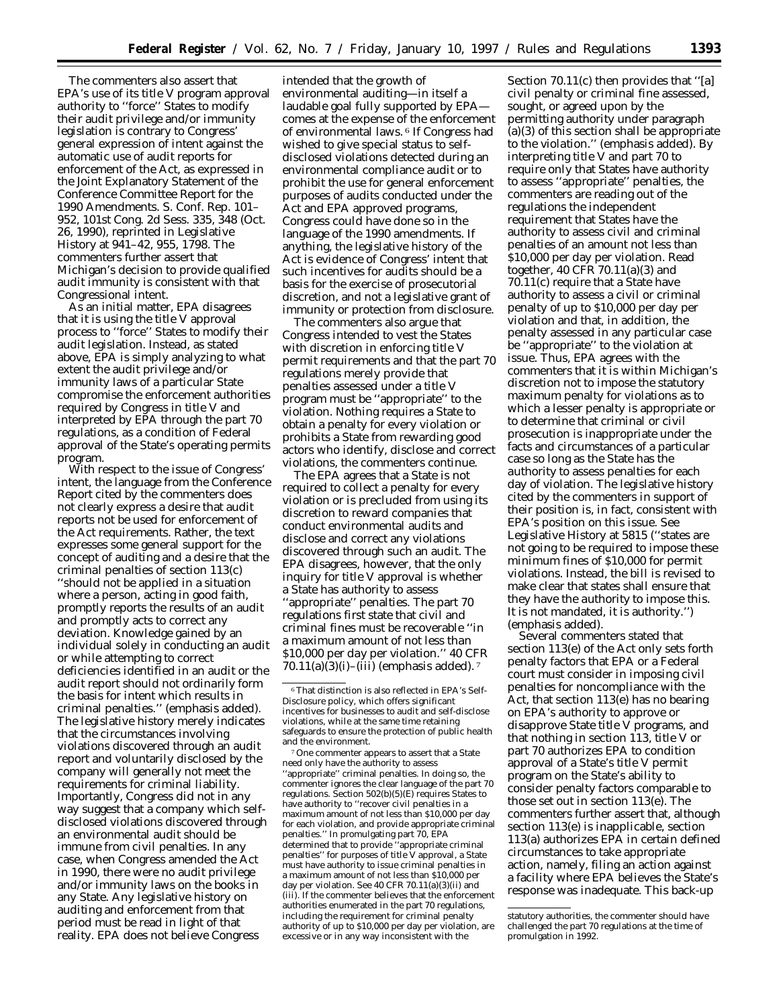The commenters also assert that EPA's use of its title V program approval authority to ''force'' States to modify their audit privilege and/or immunity legislation is contrary to Congress' general expression of intent against the automatic use of audit reports for enforcement of the Act, as expressed in the Joint Explanatory Statement of the Conference Committee Report for the 1990 Amendments. S. Conf. Rep. 101– 952, 101st Cong. 2d Sess. 335, 348 (Oct. 26, 1990), *reprinted in* Legislative History at 941–42, 955, 1798. The commenters further assert that Michigan's decision to provide qualified audit immunity is consistent with that Congressional intent.

As an initial matter, EPA disagrees that it is using the title V approval process to ''force'' States to modify their audit legislation. Instead, as stated above, EPA is simply analyzing to what extent the audit privilege and/or immunity laws of a particular State compromise the enforcement authorities required by Congress in title V and interpreted by EPA through the part 70 regulations, as a condition of Federal approval of the State's operating permits program.

With respect to the issue of Congress' intent, the language from the Conference Report cited by the commenters does not clearly express a desire that audit reports not be used for enforcement of the Act requirements. Rather, the text expresses some general support for the concept of auditing and a desire that the *criminal penalties* of section 113(c) ''should not be applied in a situation where a person, acting in good faith, promptly reports the results of an audit and promptly acts to correct any deviation. Knowledge gained by an individual solely in conducting an audit or while attempting to correct deficiencies identified in an audit or the audit report should not *ordinarily* form the basis for intent which results in criminal penalties.'' (emphasis added). The legislative history merely indicates that the circumstances involving violations discovered through an audit report and voluntarily disclosed by the company will generally not meet the requirements for criminal liability. Importantly, Congress did not in any way suggest that a company which selfdisclosed violations discovered through an environmental audit should be immune from civil penalties. In any case, when Congress amended the Act in 1990, there were no audit privilege and/or immunity laws on the books in any State. Any legislative history on auditing and enforcement from that period must be read in light of that reality. EPA does not believe Congress

intended that the growth of environmental auditing—in itself a laudable goal fully supported by EPA comes at the expense of the enforcement of environmental laws. 6 If Congress had wished to give special status to selfdisclosed violations detected during an environmental compliance audit or to prohibit the use for general enforcement purposes of audits conducted under the Act and EPA approved programs, Congress could have done so in the language of the 1990 amendments. If anything, the legislative history of the Act is evidence of Congress' intent that such incentives for audits should be a basis for the exercise of prosecutorial discretion, and not a legislative grant of immunity or protection from disclosure.

The commenters also argue that Congress intended to vest the States with discretion in enforcing title V permit requirements and that the part 70 regulations merely provide that penalties assessed under a title V program must be ''appropriate'' to the violation. Nothing requires a State to obtain a penalty for every violation or prohibits a State from rewarding good actors who identify, disclose and correct violations, the commenters continue.

The EPA agrees that a State is not required to collect a penalty for every violation or is precluded from using its discretion to reward companies that conduct environmental audits and disclose and correct any violations discovered through such an audit. The EPA disagrees, however, that the only inquiry for title V approval is whether a State has authority to assess ''appropriate'' penalties. The part 70 regulations first state that civil and criminal fines must be recoverable ''in a maximum amount of *not less than \$10,000 per day per violation.*'' 40 CFR  $70.11(a)(3)(i)$ –(iii) (emphasis added). 7

7One commenter appears to assert that a State need only have the authority to assess ''appropriate'' criminal penalties. In doing so, the commenter ignores the clear language of the part 70 regulations. Section 502(b)(5)(E) requires States to have authority to ''recover civil penalties in a maximum amount of not less than \$10,000 per day for each violation, and provide appropriate criminal penalties.'' In promulgating part 70, EPA determined that to provide ''appropriate criminal penalties'' for purposes of title V approval, a State must have authority to issue criminal penalties in a maximum amount of not less than \$10,000 per day per violation. *See* 40 CFR 70.11(a)(3)(ii) and (iii). If the commenter believes that the enforcement authorities enumerated in the part 70 regulations, including the requirement for criminal penalty authority of up to \$10,000 per day per violation, are excessive or in any way inconsistent with the

Section 70.11(c) then provides that ''[a] civil penalty or criminal fine assessed, sought, or agreed upon by the permitting authority under paragraph (a)(3) of this section shall be appropriate *to the violation.*'' (emphasis added). By interpreting title V and part 70 to require only that States have authority to assess ''appropriate'' penalties, the commenters are reading out of the regulations the independent requirement that States have the authority to assess civil and criminal penalties of an amount not less than \$10,000 per day per violation. Read together, 40 CFR 70.11(a)(3) and 70.11(c) require that a State have authority to assess a civil or criminal penalty of up to \$10,000 per day per violation and that, in addition, the penalty assessed in any particular case be ''appropriate'' to the violation at issue. Thus, EPA agrees with the commenters that it is within Michigan's discretion not to impose the statutory maximum penalty for violations as to which a lesser penalty is appropriate or to determine that criminal or civil prosecution is inappropriate under the facts and circumstances of a particular case so long as the State has the *authority* to assess penalties for each day of violation. The legislative history cited by the commenters in support of their position is, in fact, consistent with EPA's position on this issue. *See* Legislative History at 5815 (''states are not going to be required to impose these minimum fines of \$10,000 for permit violations. Instead, the bill is revised to make clear that states shall ensure that they have the *authority* to impose this. It is not mandated, it is authority.'') (emphasis added).

Several commenters stated that section 113(e) of the Act only sets forth penalty factors that EPA or a Federal court must consider in imposing civil penalties for noncompliance with the Act, that section 113(e) has no bearing on EPA's authority to approve or disapprove State title V programs, and that nothing in section 113, title V or part 70 authorizes EPA to condition approval of a State's title V permit program on the State's ability to consider penalty factors comparable to those set out in section 113(e). The commenters further assert that, although section 113(e) is inapplicable, section 113(a) authorizes EPA in certain defined circumstances to take appropriate action, namely, filing an action against a facility where EPA believes the State's response was inadequate. This back-up

<sup>6</sup>That distinction is also reflected in EPA's Self-Disclosure policy, which offers significant incentives for businesses to audit and self-disclose violations, while at the same time retaining safeguards to ensure the protection of public health and the environment.

statutory authorities, the commenter should have challenged the part 70 regulations at the time of promulgation in 1992.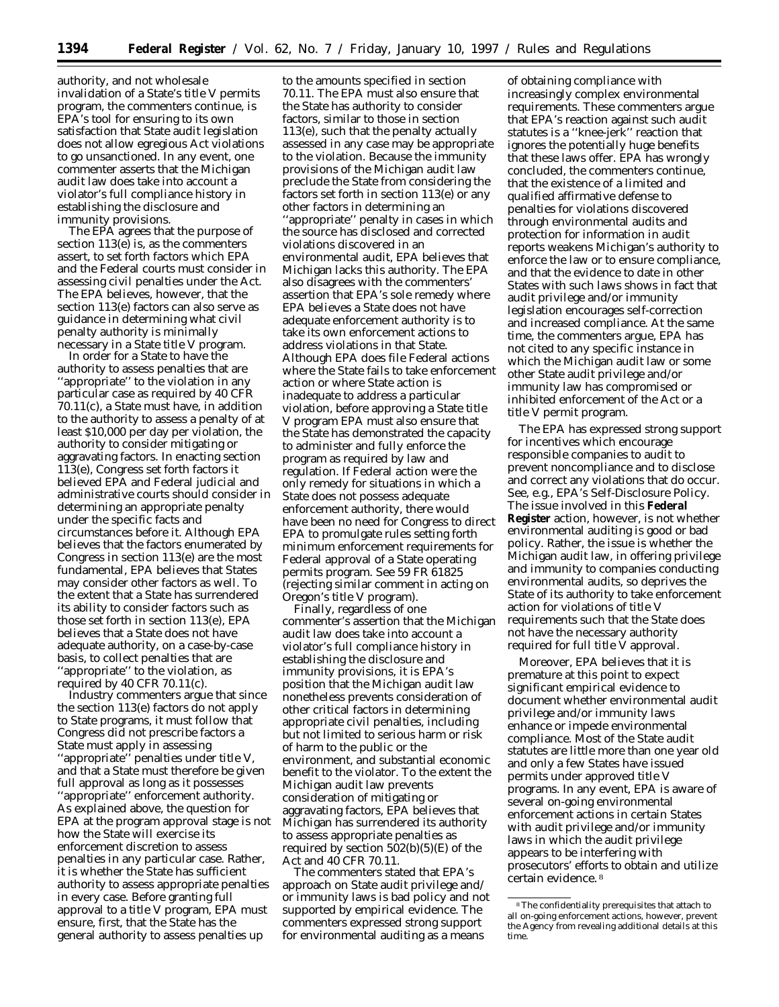authority, and not wholesale invalidation of a State's title V permits program, the commenters continue, is EPA's tool for ensuring to its own satisfaction that State audit legislation does not allow egregious Act violations to go unsanctioned. In any event, one commenter asserts that the Michigan audit law does take into account a violator's full compliance history in establishing the disclosure and immunity provisions.

The EPA agrees that the purpose of section 113(e) is, as the commenters assert, to set forth factors which EPA and the Federal courts must consider in assessing civil penalties under the Act. The EPA believes, however, that the section 113(e) factors can also serve as guidance in determining what civil penalty authority is minimally necessary in a State title V program.

In order for a State to have the authority to assess penalties that are ''appropriate'' to the violation in any particular case as required by 40 CFR 70.11(c), a State must have, in addition to the authority to assess a penalty of at least \$10,000 per day per violation, the authority to consider mitigating or aggravating factors. In enacting section 113(e), Congress set forth factors it believed EPA and Federal judicial and administrative courts should consider in determining an appropriate penalty under the specific facts and circumstances before it. Although EPA believes that the factors enumerated by Congress in section 113(e) are the most fundamental, EPA believes that States may consider other factors as well. To the extent that a State has surrendered its ability to consider factors such as those set forth in section 113(e), EPA believes that a State does not have adequate authority, on a case-by-case basis, to collect penalties that are 'appropriate'' to the violation, as required by 40 CFR 70.11(c).

Industry commenters argue that since the section 113(e) factors do not apply to State programs, it must follow that Congress did not prescribe factors a State must apply in assessing ''appropriate'' penalties under title V, and that a State must therefore be given full approval as long as it possesses ''appropriate'' enforcement authority. As explained above, the question for EPA at the program approval stage is not how the State will exercise its enforcement discretion to assess penalties in any particular case. Rather, it is whether the State has sufficient authority to assess appropriate penalties in every case. Before granting full approval to a title V program, EPA must ensure, first, that the State has the general authority to assess penalties up

to the amounts specified in section 70.11. The EPA must also ensure that the State has authority to consider factors, similar to those in section 113(e), such that the penalty actually assessed in any case may be appropriate to the violation. Because the immunity provisions of the Michigan audit law preclude the State from considering the factors set forth in section 113(e) or any other factors in determining an ''appropriate'' penalty in cases in which the source has disclosed and corrected violations discovered in an environmental audit, EPA believes that Michigan lacks this authority. The EPA also disagrees with the commenters' assertion that EPA's sole remedy where EPA believes a State does not have adequate enforcement authority is to take its own enforcement actions to address violations in that State. Although EPA does file Federal actions where the State fails to take enforcement action or where State action is inadequate to address a particular violation, before approving a State title V program EPA must also ensure that the State has demonstrated the capacity to administer and fully enforce the program as required by law and regulation. If Federal action were the only remedy for situations in which a State does not possess adequate enforcement authority, there would have been no need for Congress to direct EPA to promulgate rules setting forth minimum enforcement requirements for Federal approval of a State operating permits program. *See* 59 FR 61825 (rejecting similar comment in acting on Oregon's title V program).

Finally, regardless of one commenter's assertion that the Michigan audit law does take into account a violator's full compliance history in establishing the disclosure and immunity provisions, it is EPA's position that the Michigan audit law nonetheless prevents consideration of other critical factors in determining appropriate civil penalties, including but not limited to serious harm or risk of harm to the public or the environment, and substantial economic benefit to the violator. To the extent the Michigan audit law prevents consideration of mitigating or aggravating factors, EPA believes that Michigan has surrendered its authority to assess appropriate penalties as required by section  $502(b)(5)(E)$  of the Act and 40 CFR 70.11.

The commenters stated that EPA's approach on State audit privilege and/ or immunity laws is bad policy and not supported by empirical evidence. The commenters expressed strong support for environmental auditing as a means

of obtaining compliance with increasingly complex environmental requirements. These commenters argue that EPA's reaction against such audit statutes is a ''knee-jerk'' reaction that ignores the potentially huge benefits that these laws offer. EPA has wrongly concluded, the commenters continue, that the existence of a limited and qualified affirmative defense to penalties for violations discovered through environmental audits and protection for information in audit reports weakens Michigan's authority to enforce the law or to ensure compliance, and that the evidence to date in other States with such laws shows in fact that audit privilege and/or immunity legislation encourages self-correction and increased compliance. At the same time, the commenters argue, EPA has not cited to any specific instance in which the Michigan audit law or some other State audit privilege and/or immunity law has compromised or inhibited enforcement of the Act or a title V permit program.

The EPA has expressed strong support for incentives which encourage responsible companies to audit to prevent noncompliance and to disclose and correct any violations that do occur. *See, e.g.,* EPA's Self-Disclosure Policy. The issue involved in this **Federal Register** action, however, is not whether environmental auditing is good or bad policy. Rather, the issue is whether the Michigan audit law, in offering privilege and immunity to companies conducting environmental audits, so deprives the State of its authority to take enforcement action for violations of title V requirements such that the State does not have the necessary authority required for full title V approval.

Moreover, EPA believes that it is premature at this point to expect significant empirical evidence to document whether environmental audit privilege and/or immunity laws enhance or impede environmental compliance. Most of the State audit statutes are little more than one year old and only a few States have issued permits under approved title V programs. In any event, EPA is aware of several on-going environmental enforcement actions in certain States with audit privilege and/or immunity laws in which the audit privilege appears to be interfering with prosecutors' efforts to obtain and utilize certain evidence. 8

<sup>8</sup>The confidentiality prerequisites that attach to all on-going enforcement actions, however, prevent the Agency from revealing additional details at this time.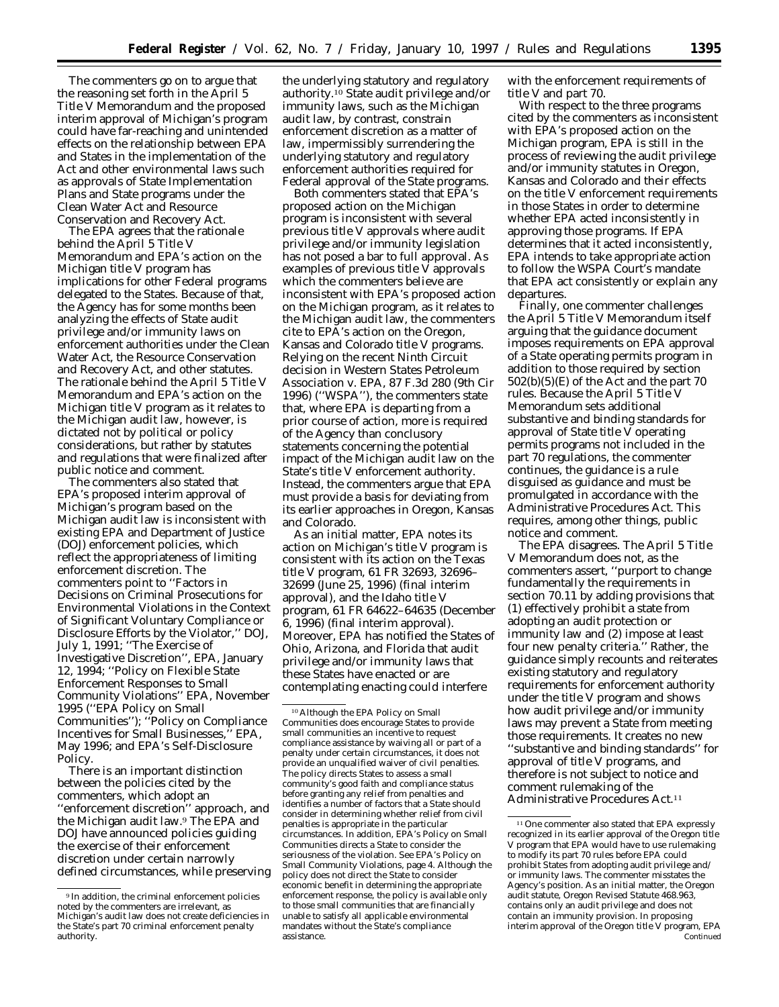The commenters go on to argue that the reasoning set forth in the April 5 Title V Memorandum and the proposed interim approval of Michigan's program could have far-reaching and unintended effects on the relationship between EPA and States in the implementation of the Act and other environmental laws such as approvals of State Implementation Plans and State programs under the Clean Water Act and Resource Conservation and Recovery Act.

The EPA agrees that the rationale behind the April 5 Title V Memorandum and EPA's action on the Michigan title V program has implications for other Federal programs delegated to the States. Because of that, the Agency has for some months been analyzing the effects of State audit privilege and/or immunity laws on enforcement authorities under the Clean Water Act, the Resource Conservation and Recovery Act, and other statutes. The rationale behind the April 5 Title V Memorandum and EPA's action on the Michigan title V program as it relates to the Michigan audit law, however, is dictated not by political or policy considerations, but rather by statutes and regulations that were finalized after public notice and comment.

The commenters also stated that EPA's proposed interim approval of Michigan's program based on the Michigan audit law is inconsistent with existing EPA and Department of Justice (DOJ) enforcement policies, which reflect the appropriateness of limiting enforcement discretion. The commenters point to ''Factors in Decisions on Criminal Prosecutions for Environmental Violations in the Context of Significant Voluntary Compliance or Disclosure Efforts by the Violator,'' DOJ, July 1, 1991; ''The Exercise of Investigative Discretion'', EPA, January 12, 1994; ''Policy on Flexible State Enforcement Responses to Small Community Violations'' EPA, November 1995 (''EPA Policy on Small Communities''); ''Policy on Compliance Incentives for Small Businesses,'' EPA, May 1996; and EPA's Self-Disclosure Policy.

There is an important distinction between the policies cited by the commenters, which adopt an ''enforcement discretion'' approach, and the Michigan audit law.9 The EPA and DOJ have announced policies guiding the exercise of their enforcement discretion under certain narrowly defined circumstances, while preserving

the underlying statutory and regulatory authority.10 State audit privilege and/or immunity laws, such as the Michigan audit law, by contrast, constrain enforcement discretion as a matter of law, impermissibly surrendering the underlying statutory and regulatory enforcement authorities required for Federal approval of the State programs.

Both commenters stated that EPA's proposed action on the Michigan program is inconsistent with several previous title V approvals where audit privilege and/or immunity legislation has not posed a bar to full approval. As examples of previous title V approvals which the commenters believe are inconsistent with EPA's proposed action on the Michigan program, as it relates to the Michigan audit law, the commenters cite to EPA's action on the Oregon, Kansas and Colorado title V programs. Relying on the recent Ninth Circuit decision in *Western States Petroleum Association* v. *EPA,* 87 F.3d 280 (9th Cir 1996) (''WSPA''), the commenters state that, where EPA is departing from a prior course of action, more is required of the Agency than conclusory statements concerning the potential impact of the Michigan audit law on the State's title V enforcement authority. Instead, the commenters argue that EPA must provide a basis for deviating from its earlier approaches in Oregon, Kansas and Colorado.

As an initial matter, EPA notes its action on Michigan's title V program is consistent with its action on the Texas title V program, 61 FR 32693, 32696– 32699 (June 25, 1996) (final interim approval), and the Idaho title V program, 61 FR 64622–64635 (December 6, 1996) (final interim approval). Moreover, EPA has notified the States of Ohio, Arizona, and Florida that audit privilege and/or immunity laws that these States have enacted or are contemplating enacting could interfere

with the enforcement requirements of title V and part 70.

With respect to the three programs cited by the commenters as inconsistent with EPA's proposed action on the Michigan program, EPA is still in the process of reviewing the audit privilege and/or immunity statutes in Oregon, Kansas and Colorado and their effects on the title V enforcement requirements in those States in order to determine whether EPA acted inconsistently in approving those programs. If EPA determines that it acted inconsistently, EPA intends to take appropriate action to follow the *WSPA* Court's mandate that EPA act consistently or explain any departures.

Finally, one commenter challenges the April 5 Title V Memorandum itself arguing that the guidance document imposes requirements on EPA approval of a State operating permits program in addition to those required by section  $502(b)(5)(E)$  of the Act and the part 70 rules. Because the April 5 Title V Memorandum sets additional substantive and binding standards for approval of State title V operating permits programs not included in the part 70 regulations, the commenter continues, the guidance is a rule disguised as guidance and must be promulgated in accordance with the Administrative Procedures Act. This requires, among other things, public notice and comment.

The EPA disagrees. The April 5 Title V Memorandum does not, as the commenters assert, ''purport to change fundamentally the requirements in section 70.11 by adding provisions that (1) effectively prohibit a state from adopting an audit protection or immunity law and (2) impose at least four new penalty criteria.'' Rather, the guidance simply recounts and reiterates existing statutory and regulatory requirements for enforcement authority under the title V program and shows how audit privilege and/or immunity laws may prevent a State from meeting those requirements. It creates no new ''substantive and binding standards'' for approval of title V programs, and therefore is not subject to notice and comment rulemaking of the Administrative Procedures Act.11

<sup>9</sup> In addition, the criminal enforcement policies noted by the commenters are irrelevant, as Michigan's audit law does not create deficiencies in the State's part 70 criminal enforcement penalty authority.

<sup>10</sup>Although the EPA Policy on Small Communities does encourage States to provide small communities an incentive to request compliance assistance by waiving all or part of a penalty under certain circumstances, it does not provide an unqualified waiver of civil penalties. The policy directs States to assess a small community's good faith and compliance status before granting any relief from penalties and identifies a number of factors that a State should consider in determining whether relief from civil penalties is appropriate in the particular circumstances. In addition, EPA's Policy on Small Communities directs a State to consider the seriousness of the violation. *See* EPA's Policy on Small Community Violations, page 4. Although the policy does not direct the State to consider economic benefit in determining the appropriate enforcement response, the policy is available only to those small communities that are financially unable to satisfy all applicable environmental mandates without the State's compliance assistance.

<sup>&</sup>lt;sup>11</sup> One commenter also stated that EPA expressly recognized in its earlier approval of the Oregon title V program that EPA would have to use rulemaking to modify its part 70 rules before EPA could prohibit States from adopting audit privilege and/ or immunity laws. The commenter misstates the Agency's position. As an initial matter, the Oregon audit statute, Oregon Revised Statute 468.963, contains only an audit privilege and does not contain an immunity provision. In proposing interim approval of the Oregon title V program, EPA Continued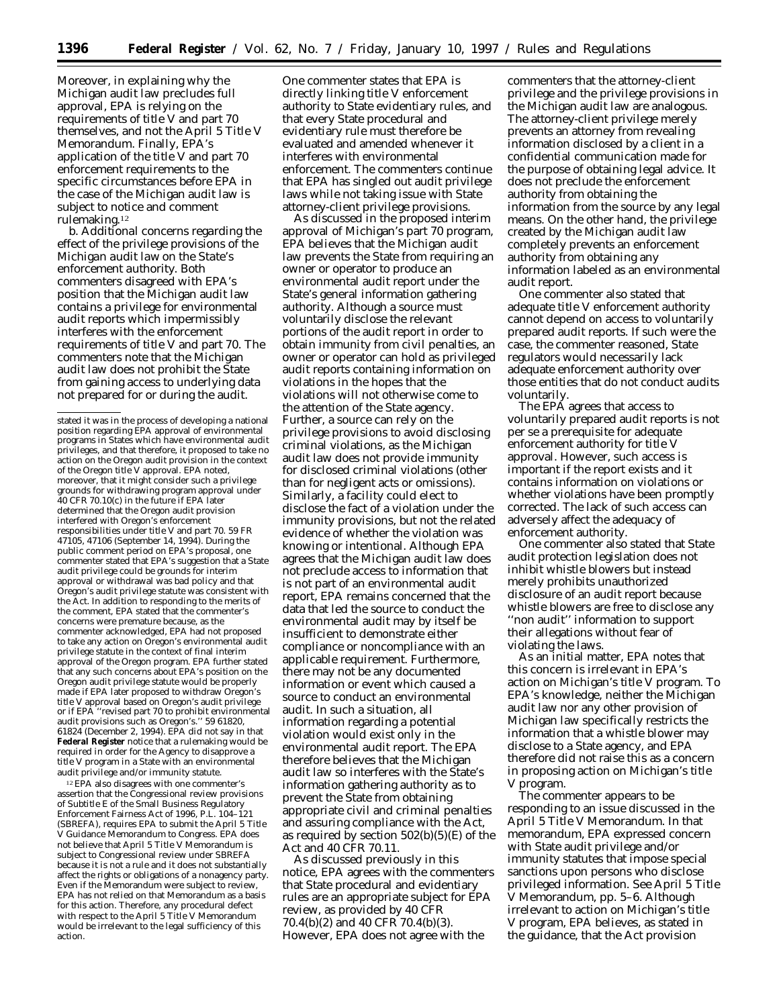Moreover, in explaining why the Michigan audit law precludes full approval, EPA is relying on the requirements of title V and part 70 themselves, and not the April 5 Title V Memorandum. Finally, EPA's application of the title V and part 70 enforcement requirements to the specific circumstances before EPA in the case of the Michigan audit law is subject to notice and comment rulemaking.12

*b. Additional concerns regarding the effect of the privilege provisions of the Michigan audit law on the State's enforcement authority*. Both commenters disagreed with EPA's position that the Michigan audit law contains a privilege for environmental audit reports which impermissibly interferes with the enforcement requirements of title V and part 70. The commenters note that the Michigan audit law does not prohibit the State from gaining access to underlying data not prepared for or during the audit.

12EPA also disagrees with one commenter's assertion that the Congressional review provisions of Subtitle E of the Small Business Regulatory Enforcement Fairness Act of 1996, P.L. 104–121 (SBREFA), requires EPA to submit the April 5 Title V Guidance Memorandum to Congress. EPA does not believe that April 5 Title V Memorandum is subject to Congressional review under SBREFA because it is not a rule and it does not substantially affect the rights or obligations of a nonagency party. Even if the Memorandum were subject to review, EPA has not relied on that Memorandum as a basis for this action. Therefore, any procedural defect with respect to the April 5 Title V Memorandum would be irrelevant to the legal sufficiency of this action.

As discussed in the proposed interim approval of Michigan's part 70 program, EPA believes that the Michigan audit law prevents the State from requiring an owner or operator to produce an environmental audit report under the State's general information gathering authority. Although a source must voluntarily disclose the relevant portions of the audit report in order to obtain immunity from civil penalties, an owner or operator can hold as privileged audit reports containing information on violations in the hopes that the violations will not otherwise come to the attention of the State agency. Further, a source can rely on the privilege provisions to avoid disclosing criminal violations, as the Michigan audit law does not provide immunity for disclosed criminal violations (other than for negligent acts or omissions). Similarly, a facility could elect to disclose the fact of a violation under the immunity provisions, but not the related evidence of whether the violation was knowing or intentional. Although EPA agrees that the Michigan audit law does not preclude access to information that is not part of an environmental audit report, EPA remains concerned that the data that led the source to conduct the environmental audit may by itself be insufficient to demonstrate either compliance or noncompliance with an applicable requirement. Furthermore, there may not be any documented information or event which caused a source to conduct an environmental audit. In such a situation, all information regarding a potential violation would exist only in the environmental audit report. The EPA therefore believes that the Michigan audit law so interferes with the State's information gathering authority as to prevent the State from obtaining appropriate civil and criminal penalties and assuring compliance with the Act, as required by section  $502(b)(5)(E)$  of the Act and 40 CFR 70.11.

As discussed previously in this notice, EPA agrees with the commenters that State procedural and evidentiary rules are an appropriate subject for EPA review, as provided by 40 CFR 70.4(b)(2) and 40 CFR 70.4(b)(3). However, EPA does not agree with the

commenters that the attorney-client privilege and the privilege provisions in the Michigan audit law are analogous. The attorney-client privilege merely prevents an attorney from revealing information disclosed by a client in a confidential communication made for the purpose of obtaining legal advice. It does not preclude the enforcement authority from obtaining the information from the source by any legal means. On the other hand, the privilege created by the Michigan audit law completely prevents an enforcement authority from obtaining any information labeled as an environmental audit report.

One commenter also stated that adequate title V enforcement authority cannot depend on access to voluntarily prepared audit reports. If such were the case, the commenter reasoned, State regulators would necessarily lack adequate enforcement authority over those entities that do not conduct audits voluntarily.

The EPA agrees that access to voluntarily prepared audit reports is not *per se* a prerequisite for adequate enforcement authority for title V approval. However, such access is important if the report exists and it contains information on violations or whether violations have been promptly corrected. The lack of such access can adversely affect the adequacy of enforcement authority.

One commenter also stated that State audit protection legislation does not inhibit whistle blowers but instead merely prohibits unauthorized disclosure of an audit report because whistle blowers are free to disclose any ''non audit'' information to support their allegations without fear of violating the laws.

As an initial matter, EPA notes that this concern is irrelevant in EPA's action on Michigan's title V program. To EPA's knowledge, neither the Michigan audit law nor any other provision of Michigan law specifically restricts the information that a whistle blower may disclose to a State agency, and EPA therefore did not raise this as a concern in proposing action on Michigan's title V program.

The commenter appears to be responding to an issue discussed in the April 5 Title V Memorandum. In that memorandum, EPA expressed concern with State audit privilege and/or immunity statutes that impose special sanctions upon persons who disclose privileged information. *See* April 5 Title V Memorandum, pp. 5–6. Although irrelevant to action on Michigan's title V program, EPA believes, as stated in the guidance, that the Act provision

stated it was in the process of developing a national position regarding EPA approval of environmental programs in States which have environmental audit privileges, and that therefore, it proposed to take no action on the Oregon audit provision in the context of the Oregon title V approval. EPA noted, moreover, that it might consider such a privilege grounds for withdrawing program approval under 40 CFR 70.10(c) in the future if EPA later determined that the Oregon audit provision interfered with Oregon's enforcement responsibilities under title V and part 70. 59 FR 47105, 47106 (September 14, 1994). During the public comment period on EPA's proposal, one commenter stated that EPA's suggestion that a State audit privilege could be grounds for interim approval or withdrawal was bad policy and that Oregon's audit privilege statute was consistent with the Act. In addition to responding to the merits of the comment, EPA stated that the commenter's concerns were premature because, as the commenter acknowledged, EPA had not proposed to take any action on Oregon's environmental audit privilege statute in the context of final interim approval of the Oregon program. EPA further stated that any such concerns about EPA's position on the Oregon audit privilege statute would be properly made if EPA later proposed to withdraw Oregon's title V approval based on Oregon's audit privilege or if EPA ''revised part 70 to prohibit environmental audit provisions such as Oregon's.'' 59 61820, 61824 (December 2, 1994). EPA did *not* say in that **Federal Register** notice that a rulemaking would be required in order for the Agency to disapprove a title V program in a State with an environmental audit privilege and/or immunity statute.

One commenter states that EPA is directly linking title V enforcement authority to State evidentiary rules, and that every State procedural and evidentiary rule must therefore be evaluated and amended whenever it interferes with environmental enforcement. The commenters continue that EPA has singled out audit privilege laws while not taking issue with State attorney-client privilege provisions.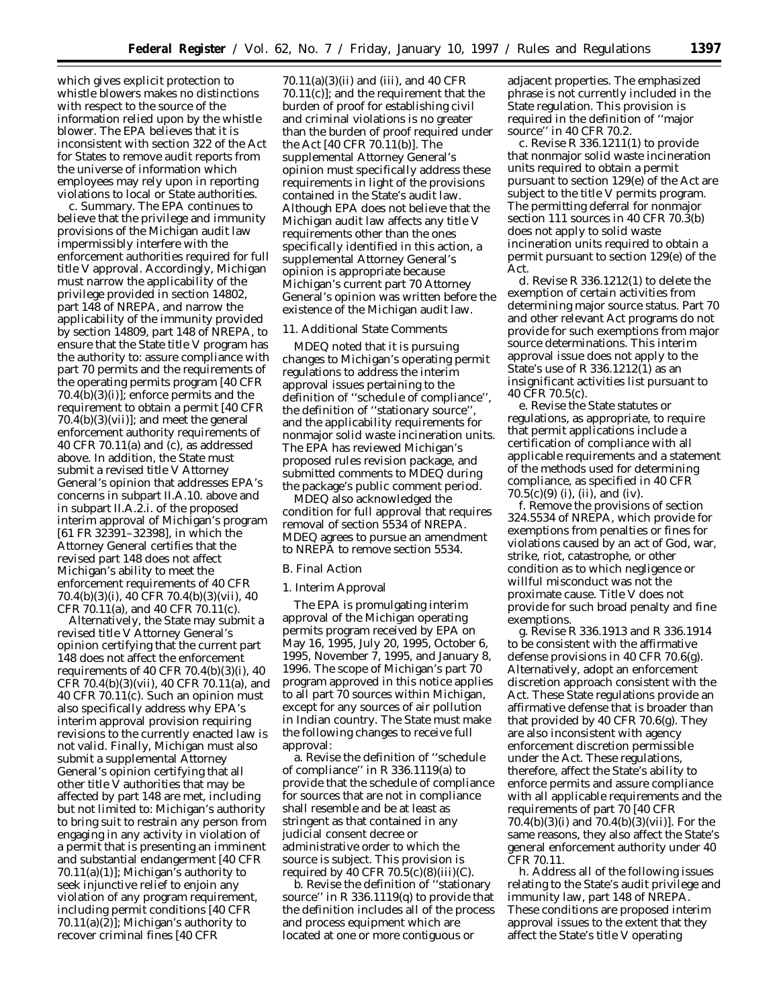which gives explicit protection to whistle blowers makes no distinctions with respect to the source of the information relied upon by the whistle blower. The EPA believes that it is inconsistent with section 322 of the Act for States to remove audit reports from the universe of information which employees may rely upon in reporting violations to local or State authorities.

*c. Summary.* The EPA continues to believe that the privilege and immunity provisions of the Michigan audit law impermissibly interfere with the enforcement authorities required for full title V approval. Accordingly, Michigan must narrow the applicability of the privilege provided in section 14802, part 148 of NREPA, and narrow the applicability of the immunity provided by section 14809, part 148 of NREPA, to ensure that the State title V program has the authority to: assure compliance with part 70 permits and the requirements of the operating permits program [40 CFR  $70.4(b)(3)(i)$ ; enforce permits and the requirement to obtain a permit [40 CFR  $70.4(b)(3)(vii)$ ; and meet the general enforcement authority requirements of 40 CFR 70.11(a) and (c), as addressed above. In addition, the State must submit a revised title V Attorney General's opinion that addresses EPA's concerns in subpart II.A.10. above and in subpart II.A.2.i. of the proposed interim approval of Michigan's program [61 FR 32391–32398], in which the Attorney General certifies that the revised part 148 does not affect Michigan's ability to meet the enforcement requirements of 40 CFR 70.4(b)(3)(i), 40 CFR 70.4(b)(3)(vii), 40 CFR 70.11(a), and 40 CFR 70.11(c).

Alternatively, the State may submit a revised title V Attorney General's opinion certifying that the current part 148 does not affect the enforcement requirements of 40 CFR 70.4(b)(3)(i), 40 CFR 70.4(b)(3)(vii), 40 CFR 70.11(a), and 40 CFR 70.11(c). Such an opinion must also specifically address why EPA's interim approval provision requiring revisions to the currently enacted law is not valid. Finally, Michigan must also submit a supplemental Attorney General's opinion certifying that all other title V authorities that may be affected by part 148 are met, including but not limited to: Michigan's authority to bring suit to restrain any person from engaging in any activity in violation of a permit that is presenting an imminent and substantial endangerment [40 CFR  $70.11(a)(1)$ ; Michigan's authority to seek injunctive relief to enjoin any violation of any program requirement, including permit conditions [40 CFR  $70.11(a)(2)$ ; Michigan's authority to recover criminal fines [40 CFR

70.11(a)(3)(ii) and (iii), and 40 CFR 70.11(c)]; and the requirement that the burden of proof for establishing civil and criminal violations is no greater than the burden of proof required under the Act [40 CFR 70.11(b)]. The supplemental Attorney General's opinion must specifically address these requirements in light of the provisions contained in the State's audit law. Although EPA does not believe that the Michigan audit law affects any title V requirements other than the ones specifically identified in this action, a supplemental Attorney General's opinion is appropriate because Michigan's current part 70 Attorney General's opinion was written before the existence of the Michigan audit law.

# 11. Additional State Comments

MDEQ noted that it is pursuing changes to Michigan's operating permit regulations to address the interim approval issues pertaining to the definition of ''schedule of compliance'', the definition of ''stationary source'', and the applicability requirements for nonmajor solid waste incineration units. The EPA has reviewed Michigan's proposed rules revision package, and submitted comments to MDEQ during the package's public comment period.

MDEQ also acknowledged the condition for full approval that requires removal of section 5534 of NREPA. MDEQ agrees to pursue an amendment to NREPA to remove section 5534.

#### *B. Final Action*

#### 1. Interim Approval

The EPA is promulgating interim approval of the Michigan operating permits program received by EPA on May 16, 1995, July 20, 1995, October 6, 1995, November 7, 1995, and January 8, 1996. The scope of Michigan's part 70 program approved in this notice applies to all part 70 sources within Michigan, except for any sources of air pollution in Indian country. The State must make the following changes to receive full approval:

a. Revise the definition of ''schedule of compliance'' in R 336.1119(a) to provide that the schedule of compliance for sources that are not in compliance shall resemble and be at least as stringent as that contained in any judicial consent decree or administrative order to which the source is subject. This provision is required by  $\overline{40}$  CFR  $70.5(c)(8)(iii)(C)$ .

b. Revise the definition of ''stationary source'' in R 336.1119(q) to provide that the definition includes all of the process and process equipment which are located at one or more *contiguous or*

adjacent properties. The emphasized phrase is not currently included in the State regulation. This provision is required in the definition of ''major source'' in 40 CFR 70.2.

c. Revise R 336.1211(1) to provide that nonmajor solid waste incineration units required to obtain a permit pursuant to section 129(e) of the Act are subject to the title V permits program. The permitting deferral for nonmajor section 111 sources in 40 CFR 70.3(b) does not apply to solid waste incineration units required to obtain a permit pursuant to section 129(e) of the Act.

d. Revise R 336.1212(1) to delete the exemption of certain activities from determining major source status. Part 70 and other relevant Act programs do not provide for such exemptions from major source determinations. This interim approval issue does not apply to the State's use of R 336.1212(1) as an insignificant activities list pursuant to 40 CFR 70.5(c).

e. Revise the State statutes or regulations, as appropriate, to require that permit applications include a certification of compliance with all applicable requirements and a statement of the methods used for determining compliance, as specified in 40 CFR 70.5(c)(9) (i), (ii), and (iv).

f. Remove the provisions of section 324.5534 of NREPA, which provide for exemptions from penalties or fines for violations caused by an act of God, war, strike, riot, catastrophe, or other condition as to which negligence or willful misconduct was not the proximate cause. Title V does not provide for such broad penalty and fine exemptions.

g. Revise R 336.1913 and R 336.1914 to be consistent with the affirmative defense provisions in 40 CFR 70.6(g). Alternatively, adopt an enforcement discretion approach consistent with the Act. These State regulations provide an affirmative defense that is broader than that provided by 40 CFR 70.6(g). They are also inconsistent with agency enforcement discretion permissible under the Act. These regulations, therefore, affect the State's ability to enforce permits and assure compliance with all applicable requirements and the requirements of part 70 [40 CFR 70.4(b)(3)(i) and 70.4(b)(3)(vii)]. For the same reasons, they also affect the State's general enforcement authority under 40 CFR 70.11.

h. Address all of the following issues relating to the State's audit privilege and immunity law, part 148 of NREPA. These conditions are proposed interim approval issues to the extent that they affect the State's title V operating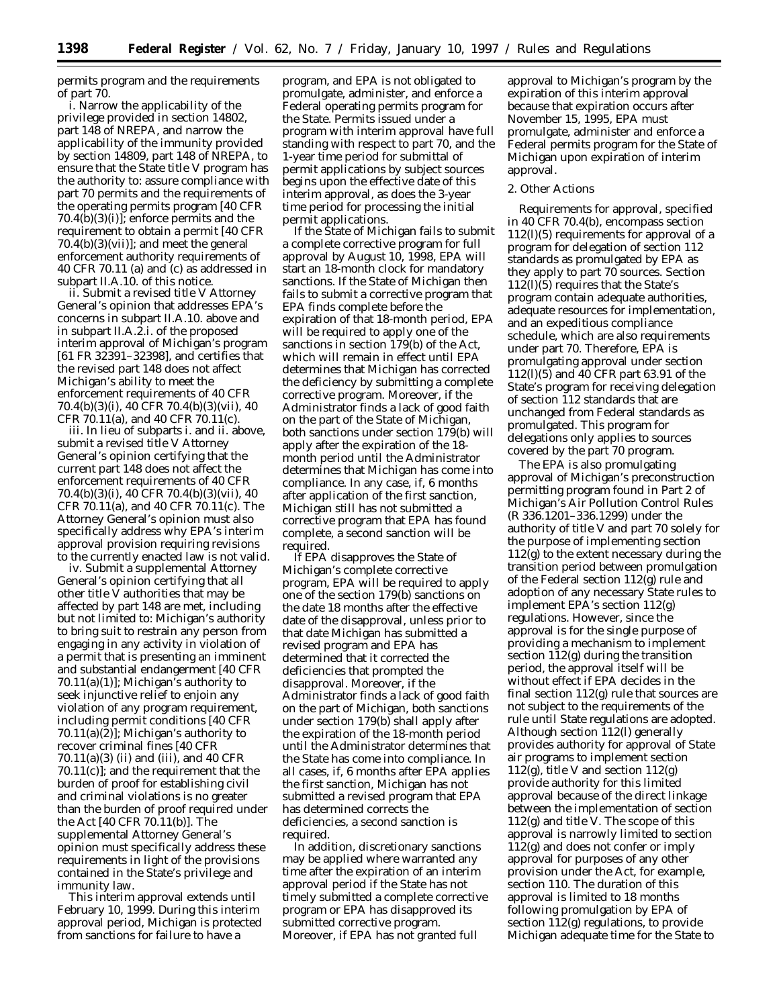permits program and the requirements of part 70.

i. Narrow the applicability of the privilege provided in section 14802, part 148 of NREPA, and narrow the applicability of the immunity provided by section 14809, part 148 of NREPA, to ensure that the State title V program has the authority to: assure compliance with part 70 permits and the requirements of the operating permits program [40 CFR  $70.4(b)(3)(i)$ ; enforce permits and the requirement to obtain a permit [40 CFR  $70.4(b)(3)(vii)$ ; and meet the general enforcement authority requirements of 40 CFR 70.11 (a) and (c) as addressed in subpart II.A.10. of this notice.

ii. Submit a revised title V Attorney General's opinion that addresses EPA's concerns in subpart II.A.10. above and in subpart II.A.2.i. of the proposed interim approval of Michigan's program [61 FR 32391–32398], and certifies that the revised part 148 does not affect Michigan's ability to meet the enforcement requirements of 40 CFR 70.4(b)(3)(i), 40 CFR 70.4(b)(3)(vii), 40 CFR 70.11(a), and 40 CFR 70.11(c).

iii. In lieu of subparts i. and ii. above, submit a revised title V Attorney General's opinion certifying that the current part 148 does not affect the enforcement requirements of 40 CFR 70.4(b)(3)(i), 40 CFR 70.4(b)(3)(vii), 40 CFR 70.11(a), and 40 CFR 70.11(c). The Attorney General's opinion must also specifically address why EPA's interim approval provision requiring revisions to the currently enacted law is not valid.

iv. Submit a supplemental Attorney General's opinion certifying that all other title V authorities that may be affected by part 148 are met, including but not limited to: Michigan's authority to bring suit to restrain any person from engaging in any activity in violation of a permit that is presenting an imminent and substantial endangerment [40 CFR  $70.11(a)(1)$ ; Michigan's authority to seek injunctive relief to enjoin any violation of any program requirement, including permit conditions [40 CFR  $70.11(a)(2)$ ]; Michigan's authority to recover criminal fines [40 CFR 70.11(a)(3) (ii) and (iii), and 40 CFR 70.11(c)]; and the requirement that the burden of proof for establishing civil and criminal violations is no greater than the burden of proof required under the Act [40 CFR 70.11(b)]. The supplemental Attorney General's opinion must specifically address these requirements in light of the provisions contained in the State's privilege and immunity law.

This interim approval extends until February 10, 1999. During this interim approval period, Michigan is protected from sanctions for failure to have a

program, and EPA is not obligated to promulgate, administer, and enforce a Federal operating permits program for the State. Permits issued under a program with interim approval have full standing with respect to part 70, and the 1-year time period for submittal of permit applications by subject sources begins upon the effective date of this interim approval, as does the 3-year time period for processing the initial permit applications.

If the State of Michigan fails to submit a complete corrective program for full approval by August 10, 1998, EPA will start an 18-month clock for mandatory sanctions. If the State of Michigan then fails to submit a corrective program that EPA finds complete before the expiration of that 18-month period, EPA will be required to apply one of the sanctions in section 179(b) of the Act, which will remain in effect until EPA determines that Michigan has corrected the deficiency by submitting a complete corrective program. Moreover, if the Administrator finds a lack of good faith on the part of the State of Michigan, both sanctions under section 179(b) will apply after the expiration of the 18 month period until the Administrator determines that Michigan has come into compliance. In any case, if, 6 months after application of the first sanction, Michigan still has not submitted a corrective program that EPA has found complete, a second sanction will be required.

If EPA disapproves the State of Michigan's complete corrective program, EPA will be required to apply one of the section 179(b) sanctions on the date 18 months after the effective date of the disapproval, unless prior to that date Michigan has submitted a revised program and EPA has determined that it corrected the deficiencies that prompted the disapproval. Moreover, if the Administrator finds a lack of good faith on the part of Michigan, both sanctions under section 179(b) shall apply after the expiration of the 18-month period until the Administrator determines that the State has come into compliance. In all cases, if, 6 months after EPA applies the first sanction, Michigan has not submitted a revised program that EPA has determined corrects the deficiencies, a second sanction is required.

In addition, discretionary sanctions may be applied where warranted any time after the expiration of an interim approval period if the State has not timely submitted a complete corrective program or EPA has disapproved its submitted corrective program. Moreover, if EPA has not granted full

approval to Michigan's program by the expiration of this interim approval because that expiration occurs after November 15, 1995, EPA must promulgate, administer and enforce a Federal permits program for the State of Michigan upon expiration of interim approval.

#### 2. Other Actions

Requirements for approval, specified in 40 CFR 70.4(b), encompass section 112(l)(5) requirements for approval of a program for delegation of section 112 standards as promulgated by EPA as they apply to part 70 sources. Section 112(l)(5) requires that the State's program contain adequate authorities, adequate resources for implementation, and an expeditious compliance schedule, which are also requirements under part 70. Therefore, EPA is promulgating approval under section 112(l)(5) and 40 CFR part 63.91 of the State's program for receiving delegation of section 112 standards that are unchanged from Federal standards as promulgated. This program for delegations only applies to sources covered by the part 70 program.

The EPA is also promulgating approval of Michigan's preconstruction permitting program found in Part 2 of Michigan's Air Pollution Control Rules (R 336.1201–336.1299) under the authority of title V and part 70 solely for the purpose of implementing section 112(g) to the extent necessary during the transition period between promulgation of the Federal section 112(g) rule and adoption of any necessary State rules to implement EPA's section 112(g) regulations. However, since the approval is for the single purpose of providing a mechanism to implement section 112(g) during the transition period, the approval itself will be without effect if EPA decides in the final section 112(g) rule that sources are not subject to the requirements of the rule until State regulations are adopted. Although section 112(l) generally provides authority for approval of State air programs to implement section  $112(g)$ , title V and section  $112(g)$ provide authority for this limited approval because of the direct linkage between the implementation of section 112(g) and title V. The scope of this approval is narrowly limited to section 112(g) and does not confer or imply approval for purposes of any other provision under the Act, for example, section 110. The duration of this approval is limited to 18 months following promulgation by EPA of section 112(g) regulations, to provide Michigan adequate time for the State to